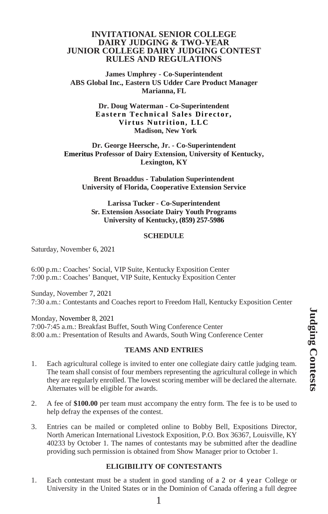### **INVITATIONAL SENIOR COLLEGE DAIRY JUDGING & TWO-YEAR JUNIOR COLLEGE DAIRY JUDGING CONTEST RULES AND REGULATIONS**

**James Umphrey - Co-Superintendent ABS Global Inc., Eastern US Udder Care Product Manager Marianna, FL**

> **Dr. Doug Waterman - Co-Superintendent Eastern Technical Sales Director, Virtus Nutrition, LLC Madison, New York**

**Dr. George Heersche, Jr. - Co-Superintendent Emeritus Professor of Dairy Extension, University of Kentucky, Lexington, KY**

**Brent Broaddus - Tabulation Superintendent University of Florida, Cooperative Extension Service**

**Larissa Tucker - Co-Superintendent Sr. Extension Associate Dairy Youth Programs University of Kentucky, (859) 257-5986**

#### **SCHEDULE**

Saturday, November 6, 2021

6:00 p.m.: Coaches' Social, VIP Suite, Kentucky Exposition Center 7:00 p.m.: Coaches' Banquet, VIP Suite, Kentucky Exposition Center

Sunday, November 7, 2021 7:30 a.m.: Contestants and Coaches report to Freedom Hall, Kentucky Exposition Center

Monday, November 8, 2021 7:00-7:45 a.m.: Breakfast Buffet, South Wing Conference Center 8:00 a.m.: Presentation of Results and Awards, South Wing Conference Center

#### **TEAMS AND ENTRIES**

- 1. Each agricultural college is invited to enter one collegiate dairy cattle judging team. The team shall consist of four members representing the agricultural college in which they are regularly enrolled. The lowest scoring member will be declared the alternate. Alternates will be eligible for awards.
- 2. A fee of **\$100.00** per team must accompany the entry form. The fee is to be used to help defray the expenses of the contest.
- 3. Entries can be mailed or completed online to Bobby Bell, Expositions Director, North American International Livestock Exposition, P.O. Box 36367, Louisville, KY 40233 by October 1. The names of contestants may be submitted after the deadline providing such permission is obtained from Show Manager prior to October 1.

### **ELIGIBILITY OF CONTESTANTS**

1. Each contestant must be a student in good standing of a 2 or 4 year College or University in the United States or in the Dominion of Canada offering a full degree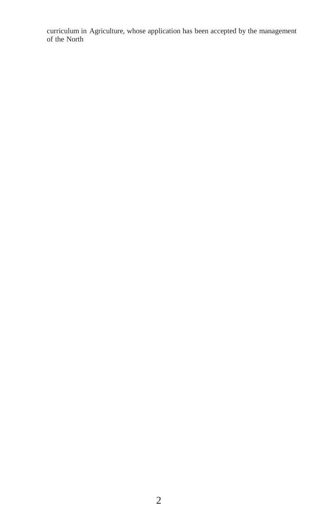curriculum in Agriculture, whose application has been accepted by the management of the North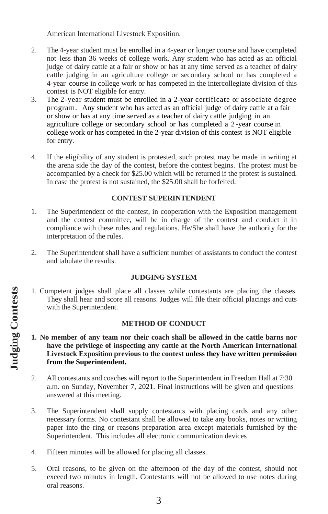American International Livestock Exposition.

- 2. The 4-year student must be enrolled in a 4-year or longer course and have completed not less than 36 weeks of college work. Any student who has acted as an official judge of dairy cattle at a fair or show or has at any time served as a teacher of dairy cattle judging in an agriculture college or secondary school or has completed a 4-year course in college work or has competed in the intercollegiate division of this contest is NOT eligible for entry.
- 3. The 2-year student must be enrolled in a 2-year certificate or associate degree program. Any student who has acted as an official judge of dairy cattle at a fair or show or has at any time served as a teacher of dairy cattle judging in an agriculture college or secondary school or has completed a 2 -year course in college work or has competed in the 2-year division of this contest is NOT eligible for entry.
- 4. If the eligibility of any student is protested, such protest may be made in writing at the arena side the day of the contest, before the contest begins. The protest must be accompanied by a check for \$25.00 which will be returned if the protest is sustained. In case the protest is not sustained, the \$25.00 shall be forfeited.

## **CONTEST SUPERINTENDENT**

- 1. The Superintendent of the contest, in cooperation with the Exposition management and the contest committee, will be in charge of the contest and conduct it in compliance with these rules and regulations. He/She shall have the authority for the interpretation of the rules.
- 2. The Superintendent shall have a sufficient number of assistants to conduct the contest and tabulate the results.

# **JUDGING SYSTEM**

1. Competent judges shall place all classes while contestants are placing the classes. They shall hear and score all reasons. Judges will file their official placings and cuts with the Superintendent.

### **METHOD OF CONDUCT**

- **1. No member of any team nor their coach shall be allowed in the cattle barns nor have the privilege of inspecting any cattle at the North American International Livestock Exposition previous to the contest unless they have written permission from the Superintendent.**
- 2. All contestants and coaches will report to the Superintendent in Freedom Hall at 7:30 a.m. on Sunday, November 7, 2021. Final instructions will be given and questions answered at this meeting.
- 3. The Superintendent shall supply contestants with placing cards and any other necessary forms. No contestant shall be allowed to take any books, notes or writing paper into the ring or reasons preparation area except materials furnished by the Superintendent. This includes all electronic communication devices
- 4. Fifteen minutes will be allowed for placing all classes.
- 5. Oral reasons, to be given on the afternoon of the day of the contest, should not exceed two minutes in length. Contestants will not be allowed to use notes during oral reasons.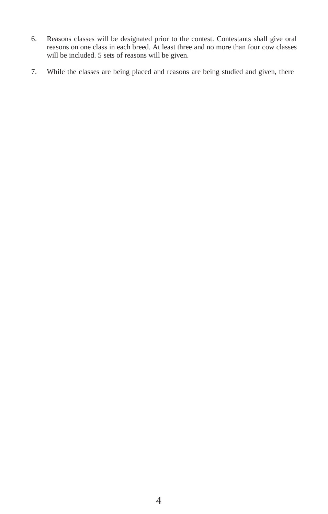- 6. Reasons classes will be designated prior to the contest. Contestants shall give oral reasons on one class in each breed. At least three and no more than four cow classes will be included. 5 sets of reasons will be given.
- 7. While the classes are being placed and reasons are being studied and given, there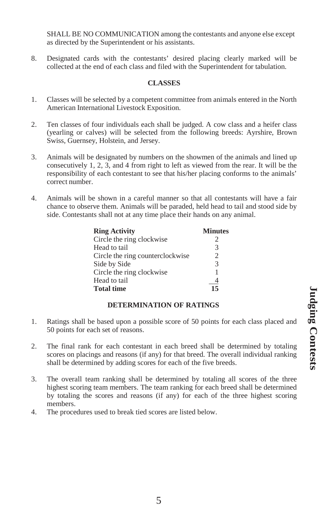SHALL BE NO COMMUNICATION among the contestants and anyone else except as directed by the Superintendent or his assistants.

8. Designated cards with the contestants' desired placing clearly marked will be collected at the end of each class and filed with the Superintendent for tabulation.

# **CLASSES**

- 1. Classes will be selected by a competent committee from animals entered in the North American International Livestock Exposition.
- 2. Ten classes of four individuals each shall be judged. A cow class and a heifer class (yearling or calves) will be selected from the following breeds: Ayrshire, Brown Swiss, Guernsey, Holstein, and Jersey.
- 3. Animals will be designated by numbers on the showmen of the animals and lined up consecutively 1, 2, 3, and 4 from right to left as viewed from the rear. It will be the responsibility of each contestant to see that his/her placing conforms to the animals' correct number.
- 4. Animals will be shown in a careful manner so that all contestants will have a fair chance to observe them. Animals will be paraded, held head to tail and stood side by side. Contestants shall not at any time place their hands on any animal.

| <b>Ring Activity</b>             | <b>Minutes</b>                |
|----------------------------------|-------------------------------|
| Circle the ring clockwise        | 2                             |
| Head to tail                     | 3                             |
| Circle the ring counterclockwise | $\mathfrak{D}_{\mathfrak{p}}$ |
| Side by Side                     | $\mathcal{R}$                 |
| Circle the ring clockwise        | 1                             |
| Head to tail                     |                               |
| <b>Total time</b>                | 15                            |

# **DETERMINATION OF RATINGS**

- 1. Ratings shall be based upon a possible score of 50 points for each class placed and 50 points for each set of reasons.
- 2. The final rank for each contestant in each breed shall be determined by totaling scores on placings and reasons (if any) for that breed. The overall individual ranking shall be determined by adding scores for each of the five breeds.
- 3. The overall team ranking shall be determined by totaling all scores of the three highest scoring team members. The team ranking for each breed shall be determined by totaling the scores and reasons (if any) for each of the three highest scoring members.
- 4. The procedures used to break tied scores are listed below.